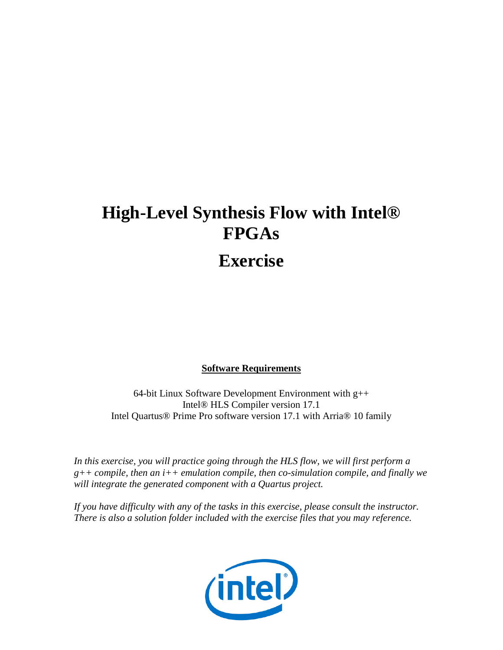# **High-Level Synthesis Flow with Intel® FPGAs**

# **Exercise**

#### **Software Requirements**

64-bit Linux Software Development Environment with g++ Intel® HLS Compiler version 17.1 Intel Quartus® Prime Pro software version 17.1 with Arria® 10 family

In this exercise, you will practice going through the HLS flow, we will first perform a *g++ compile, then an i++ emulation compile, then co-simulation compile, and finally we will integrate the generated component with a Quartus project.*

*If you have difficulty with any of the tasks in this exercise, please consult the instructor. There is also a solution folder included with the exercise files that you may reference.*

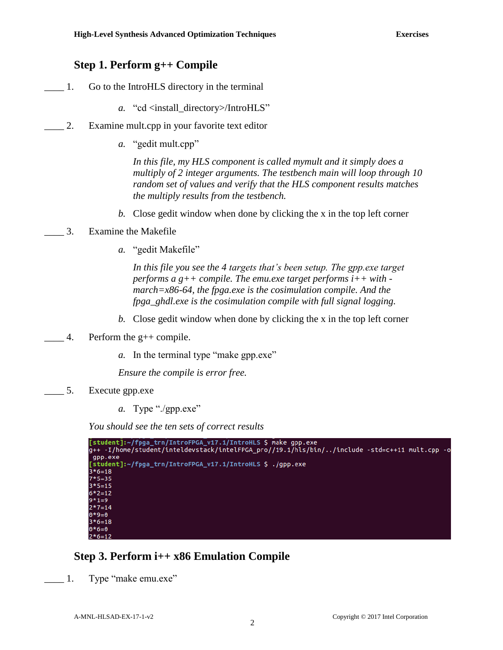### **Step 1. Perform g++ Compile**

- \_\_\_\_ 1. Go to the IntroHLS directory in the terminal
	- *a.* "cd <install\_directory>/IntroHLS"
- \_\_\_\_ 2. Examine mult.cpp in your favorite text editor
	- *a.* "gedit mult.cpp"

*In this file, my HLS component is called mymult and it simply does a multiply of 2 integer arguments. The testbench main will loop through 10 random set of values and verify that the HLS component results matches the multiply results from the testbench.*

- *b.* Close gedit window when done by clicking the x in the top left corner
- \_\_\_\_ 3. Examine the Makefile
	- *a.* "gedit Makefile"

*In this file you see the 4 targets that's been setup. The gpp.exe target performs a g++ compile. The emu.exe target performs i++ with march=x86-64, the fpga.exe is the cosimulation compile. And the fpga\_ghdl.exe is the cosimulation compile with full signal logging.*

- *b.* Close gedit window when done by clicking the x in the top left corner
- $\_\_$ 4. Perform the g++ compile.
	- *a.* In the terminal type "make gpp.exe"

*Ensure the compile is error free.*

- \_\_\_\_ 5. Execute gpp.exe
	- *a.* Type "./gpp.exe"

*You should see the ten sets of correct results*

```
[student]:~/fpga_trn/IntroFPGA_v17.1/IntroHLS $ make gpp.exe<br>g++ -I/home/student/inteldevstack/intelFPGA_pro//19.1/hls/bin/../include -std=c++11 mult.cpp -o
gpp.exe
[student]:~/fpga_trn/IntroFPGA_v17.1/IntroHLS $ ./gpp.exe
3 * 6 = 187*5=353*5=155*2=12*1=92*7=140*9=03*6=180*6=0
 *6=12
```
### **Step 3. Perform i++ x86 Emulation Compile**

1. Type "make emu.exe"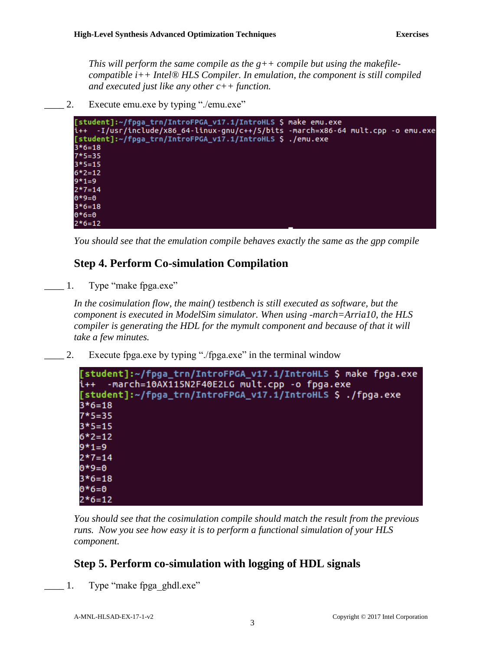*This will perform the same compile as the g++ compile but using the makefilecompatible i++ Intel® HLS Compiler. In emulation, the component is still compiled and executed just like any other c++ function.*

2. Execute emu.exe by typing "./emu.exe"



*You should see that the emulation compile behaves exactly the same as the gpp compile*

## **Step 4. Perform Co-simulation Compilation**

1. Type "make fpga.exe"

In the cosimulation flow, the main() testbench is still executed as software, but the *component is executed in ModelSim simulator. When using -march=Arria10, the HLS compiler is generating the HDL for the mymult component and because of that it will take a few minutes.*

\_\_\_\_ 2. Execute fpga.exe by typing "./fpga.exe" in the terminal window



*You should see that the cosimulation compile should match the result from the previous runs. Now you see how easy it is to perform a functional simulation of your HLS component.*

## **Step 5. Perform co-simulation with logging of HDL signals**

1. Type "make fpga\_ghdl.exe"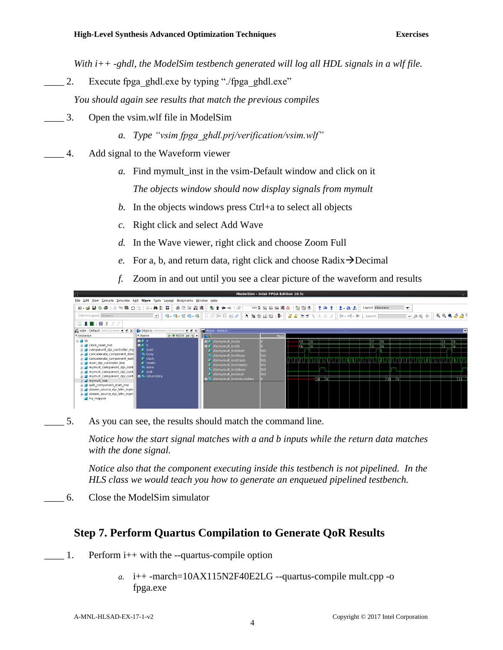*With i++ -ghdl, the ModelSim testbench generated will log all HDL signals in a wlf file.*

2. Execute fpga\_ghdl.exe by typing "./fpga\_ghdl.exe"

*You should again see results that match the previous compiles*

- \_\_\_\_ 3. Open the vsim.wlf file in ModelSim
	- *a. Type "vsim fpga\_ghdl.prj/verification/vsim.wlf"*
- \_\_\_\_ 4. Add signal to the Waveform viewer
	- *a.* Find mymult\_inst in the vsim-Default window and click on it

*The objects window should now display signals from mymult*

- *b.* In the objects windows press Ctrl+a to select all objects
- *c.* Right click and select Add Wave
- *d.* In the Wave viewer, right click and choose Zoom Full
- *e.* For a, b, and return data, right click and choose Radix → Decimal
- *f.* Zoom in and out until you see a clear picture of the waveform and results

| $\overline{\overline{\overline{M}}}$                                                                                                                                                                                                                                                                                                                                                                                                                                  |                                                                                                                                                |                            |                                                                                                                                                                                                                                                 | ModelSim - Intel FPGA Edition 10.5c    |                     |                                               |                                    |                                                                                    |
|-----------------------------------------------------------------------------------------------------------------------------------------------------------------------------------------------------------------------------------------------------------------------------------------------------------------------------------------------------------------------------------------------------------------------------------------------------------------------|------------------------------------------------------------------------------------------------------------------------------------------------|----------------------------|-------------------------------------------------------------------------------------------------------------------------------------------------------------------------------------------------------------------------------------------------|----------------------------------------|---------------------|-----------------------------------------------|------------------------------------|------------------------------------------------------------------------------------|
| View Compile Simulate Add Wave Tools Layout Bookmarks Window Help<br>File Edit                                                                                                                                                                                                                                                                                                                                                                                        |                                                                                                                                                |                            |                                                                                                                                                                                                                                                 |                                        |                     |                                               |                                    |                                                                                    |
| 日 - 1 日 1 4 4   X 4 临 : 0 : 1 0 - ハ 1 - 1   少 1 1 1   少 1 1 1   少                                                                                                                                                                                                                                                                                                                                                                                                     |                                                                                                                                                |                            | 911年半1日                                                                                                                                                                                                                                         |                                        |                     | 100日  田田医の  盟盟の  そのま  出 金高                    | Layout Simulate                    | $\overline{\phantom{a}}$                                                           |
| ColumnLayout Default                                                                                                                                                                                                                                                                                                                                                                                                                                                  | $\mathcal{A}$                                                                                                                                  |                            | I O DO III ALL                                                                                                                                                                                                                                  | <b>下向金山油 B</b>                         |                     | 書書社出記正式 3 800 480 Boll Search:                |                                    | $\mathcal{A} \otimes \mathcal{A} \otimes \mathcal{B} \otimes \mathcal{B}$<br>▼麻乾疹│ |
|                                                                                                                                                                                                                                                                                                                                                                                                                                                                       |                                                                                                                                                |                            |                                                                                                                                                                                                                                                 |                                        |                     |                                               |                                    |                                                                                    |
| when - Default = = = = + d' x                                                                                                                                                                                                                                                                                                                                                                                                                                         | <b>Objects</b>                                                                                                                                 | $+$ $+$ $\times$<br>- 5555 | Wave - Default :                                                                                                                                                                                                                                |                                        |                     |                                               |                                    |                                                                                    |
| # Instance                                                                                                                                                                                                                                                                                                                                                                                                                                                            | <b>W</b> Name                                                                                                                                  | 관 ● 90250 ps >             | Ho.                                                                                                                                                                                                                                             | Msas                                   |                     |                                               |                                    |                                                                                    |
| <b>E</b> -Lith<br><b>B</b> clock reset inst<br>component dpi controller my<br><b>E-</b> doncatenate component done<br>concatenate component wait<br>main dpi controller inst<br>in mymult component dpi cont<br>mymult component dpi cont<br>$\rightarrow$ mymult component dpi cont $\parallel$ $\rightarrow$ returndata<br>$\blacksquare$ mymult inst<br>s-1 split component start inst<br>stream source dpi bfm mym<br>F-1 stream source dpi bfm mym<br>ing_mapper | l∎ Ara<br>la 4≻ b<br>$\blacktriangle$ start<br><b>busy</b><br>$\triangle$ clock<br>$\blacktriangleright$ resetn<br>& done<br>$\triangle$ stall |                            | the the theorymult inst/a<br><b>D A</b> /tb/mymult inst/b<br>the mymult inst/start<br>tb/mymult_inst/busy<br>tb/mymult inst/clock<br>tb/mymult inst/resetn<br>the /mymult inst/done<br>the /mymult_inst/stall<br>■ ★ /tb/mymult inst/returndata | sto<br>sto<br>St1<br>st1<br>sto<br>sto | 3.<br>ി റ<br>ு<br>6 | $\overline{\text{18}}$ $\overline{\text{10}}$ | lî o<br>15.<br>- Itol<br>135<br>ा० | lïs.<br>- Do<br>n 5                                                                |

5. As you can see, the results should match the command line.

*Notice how the start signal matches with a and b inputs while the return data matches with the done signal.*

*Notice also that the component executing inside this testbench is not pipelined. In the HLS class we would teach you how to generate an enqueued pipelined testbench.*

\_\_\_\_ 6. Close the ModelSim simulator

## **Step 7. Perform Quartus Compilation to Generate QoR Results**

- $\Box$  1. Perform i++ with the --quartus-compile option
	- *a.* i++ -march=10AX115N2F40E2LG --quartus-compile mult.cpp -o fpga.exe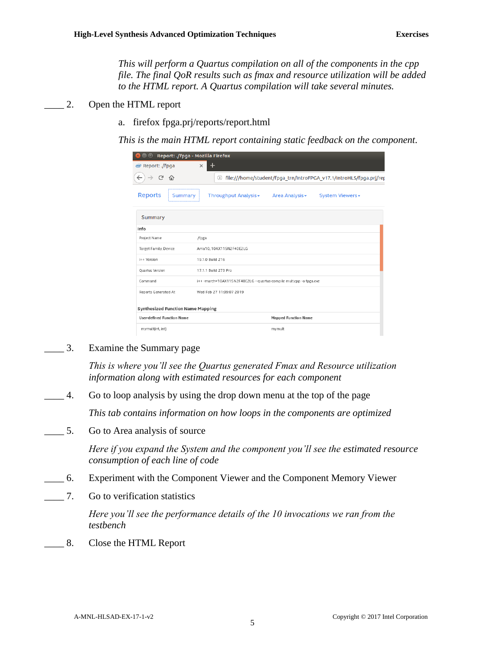*This will perform a Quartus compilation on all of the components in the cpp file. The final QoR results such as fmax and resource utilization will be added to the HTML report. A Quartus compilation will take several minutes.*

- $\Box$  2. Open the HTML report
	- a. firefox fpga.prj/reports/report.html

*This is the main HTML report containing static feedback on the component.*

| $\Box$                                   | Report: . / fpga - Mozilla Firefox                                                            |  |  |  |  |  |
|------------------------------------------|-----------------------------------------------------------------------------------------------|--|--|--|--|--|
| Report: ./fpga                           | $\times$                                                                                      |  |  |  |  |  |
| ↩<br>仆                                   | file:///home/student/fpga_trn/IntroFPGA_v17.1/IntroHLS/fpga.prj/rep<br>G)                     |  |  |  |  |  |
| <b>Reports</b><br><b>Summary</b>         | Throughput Analysis <del>▼</del><br>System Viewers <del>▼</del><br>Area Analysis <del>-</del> |  |  |  |  |  |
| <b>Summary</b>                           |                                                                                               |  |  |  |  |  |
| Info                                     |                                                                                               |  |  |  |  |  |
| Project Name                             | ./fpga                                                                                        |  |  |  |  |  |
| Target Family, Device                    | Arria10, 10AX115N2F40E2LG                                                                     |  |  |  |  |  |
| i++ Version                              | 19.1.0 Build 216                                                                              |  |  |  |  |  |
| Quartus Version                          | 17.1.1 Build 273 Pro                                                                          |  |  |  |  |  |
| Command                                  | i++ -march=10AX115N2F40E2LG --quartus-compile mult.cpp -o fpga.exe                            |  |  |  |  |  |
| <b>Reports Generated At</b>              | Wed Feb 27 11:09:07 2019                                                                      |  |  |  |  |  |
| <b>Synthesized Function Name Mapping</b> |                                                                                               |  |  |  |  |  |
| <b>User-defined Function Name</b>        | <b>Mapped Function Name</b>                                                                   |  |  |  |  |  |
| mymult(int, int)                         | mymult                                                                                        |  |  |  |  |  |

\_\_\_\_ 3. Examine the Summary page

*This is where you'll see the Quartus generated Fmax and Resource utilization information along with estimated resources for each component*

\_\_\_\_ 4. Go to loop analysis by using the drop down menu at the top of the page

*This tab contains information on how loops in the components are optimized*

\_\_\_\_ 5. Go to Area analysis of source

*Here if you expand the System and the component you'll see the estimated resource consumption of each line of code*

- \_\_\_\_ 6. Experiment with the Component Viewer and the Component Memory Viewer
- \_\_\_\_ 7. Go to verification statistics

*Here you'll see the performance details of the 10 invocations we ran from the testbench*

\_\_\_\_ 8. Close the HTML Report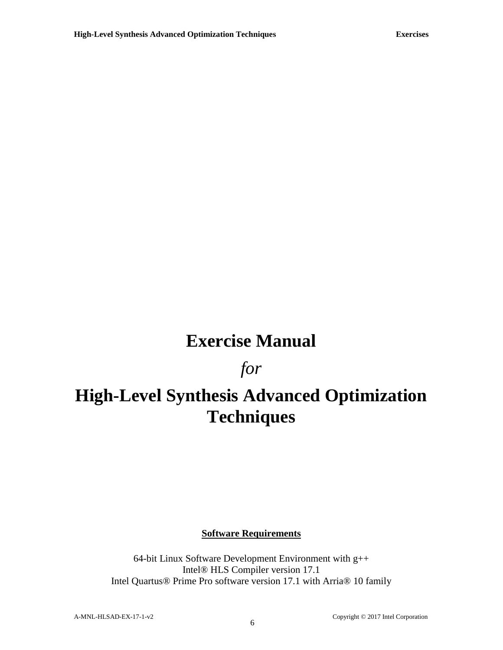# **Exercise Manual**

# *for*

# **High-Level Synthesis Advanced Optimization Techniques**

**Software Requirements**

64-bit Linux Software Development Environment with g++ Intel® HLS Compiler version 17.1 Intel Quartus® Prime Pro software version 17.1 with Arria® 10 family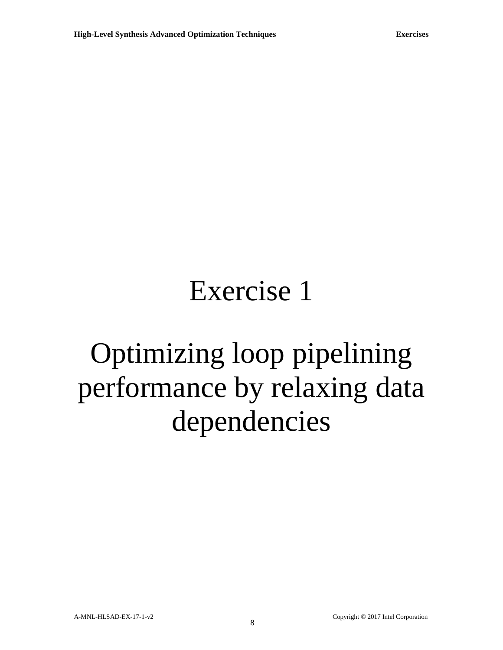# Exercise 1

# Optimizing loop pipelining performance by relaxing data dependencies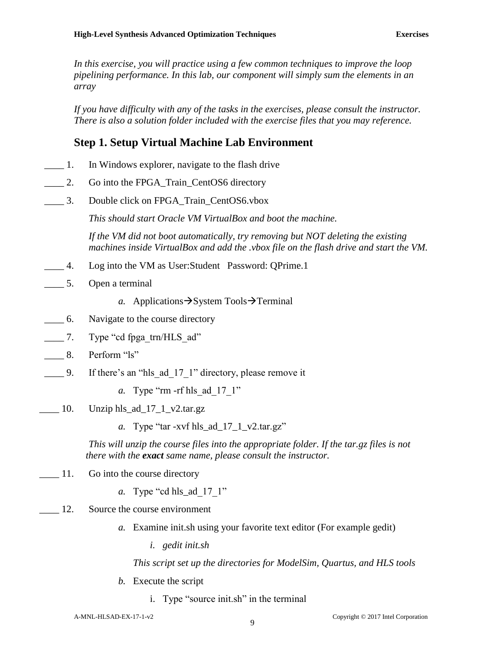In this exercise, you will practice using a few common techniques to improve the loop *pipelining performance. In this lab, our component will simply sum the elements in an array* 

*If you have difficulty with any of the tasks in the exercises, please consult the instructor. There is also a solution folder included with the exercise files that you may reference.*

### **Step 1. Setup Virtual Machine Lab Environment**

- \_\_\_\_ 1. In Windows explorer, navigate to the flash drive
- \_\_\_\_ 2. Go into the FPGA\_Train\_CentOS6 directory
- \_\_\_\_ 3. Double click on FPGA\_Train\_CentOS6.vbox

*This should start Oracle VM VirtualBox and boot the machine.*

*If the VM did not boot automatically, try removing but NOT deleting the existing machines inside VirtualBox and add the .vbox file on the flash drive and start the VM.*

- \_\_\_\_ 4. Log into the VM as User:Student Password: QPrime.1
- \_\_\_\_ 5. Open a terminal
	- *a.* Applications→System Tools→Terminal
- \_\_\_\_ 6. Navigate to the course directory
- \_\_\_\_ 7. Type "cd fpga\_trn/HLS\_ad"
- 8. Perform "ls"
- 1. g. S. If there's an "hls\_ad\_17\_1" directory, please remove it
	- *a.* Type "rm -rf hls ad 17 1"
- $\frac{10}{\text{J}}$  Unzip hls\_ad\_17\_1\_v2.tar.gz
	- *a.* Type "tar -xvf hls\_ad\_17\_1\_v2.tar.gz"

*This will unzip the course files into the appropriate folder. If the tar.gz files is not there with the exact same name, please consult the instructor.*

- 11. Go into the course directory
	- *a.* Type "cd hls\_ad\_17\_1"
- 12. Source the course environment
	- *a.* Examine init.sh using your favorite text editor (For example gedit)
		- *i. gedit init.sh*

*This script set up the directories for ModelSim, Quartus, and HLS tools*

- *b.* Execute the script
	- i. Type "source init.sh" in the terminal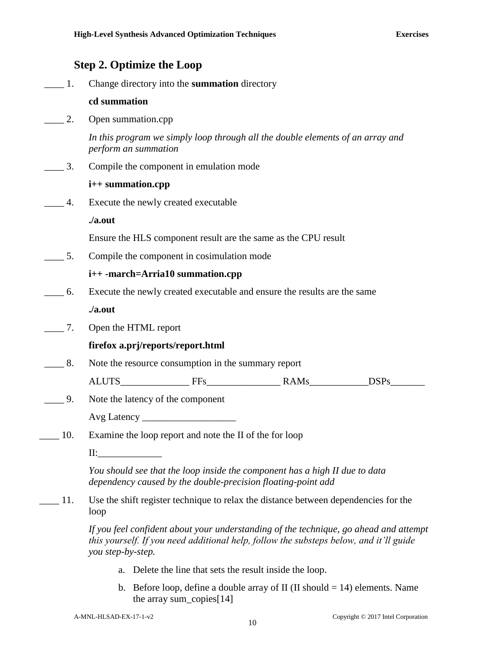# **Step 2. Optimize the Loop**

| $\overline{1}$ . | Change directory into the summation directory                                                                                                                                                        |
|------------------|------------------------------------------------------------------------------------------------------------------------------------------------------------------------------------------------------|
|                  | cd summation                                                                                                                                                                                         |
| 2.               | Open summation.cpp                                                                                                                                                                                   |
|                  | In this program we simply loop through all the double elements of an array and<br>perform an summation                                                                                               |
| 3.               | Compile the component in emulation mode                                                                                                                                                              |
|                  | i++ summation.cpp                                                                                                                                                                                    |
| 4.               | Execute the newly created executable                                                                                                                                                                 |
|                  | ./a.out                                                                                                                                                                                              |
|                  | Ensure the HLS component result are the same as the CPU result                                                                                                                                       |
| $\_\_\$ 5.       | Compile the component in cosimulation mode                                                                                                                                                           |
|                  | i++ -march=Arria10 summation.cpp                                                                                                                                                                     |
| 6.               | Execute the newly created executable and ensure the results are the same                                                                                                                             |
|                  | ./a.out                                                                                                                                                                                              |
| 7.               | Open the HTML report                                                                                                                                                                                 |
|                  | firefox a.prj/reports/report.html                                                                                                                                                                    |
| $\sim$ 8.        | Note the resource consumption in the summary report                                                                                                                                                  |
|                  | ALUTS FFS RAMS<br>DSPs                                                                                                                                                                               |
| 9.               | Note the latency of the component                                                                                                                                                                    |
|                  | Avg Latency                                                                                                                                                                                          |
| 10.              | Examine the loop report and note the II of the for loop                                                                                                                                              |
|                  | II:                                                                                                                                                                                                  |
|                  | You should see that the loop inside the component has a high II due to data<br>dependency caused by the double-precision floating-point add                                                          |
| 11.              | Use the shift register technique to relax the distance between dependencies for the<br>loop                                                                                                          |
|                  | If you feel confident about your understanding of the technique, go ahead and attempt<br>this yourself. If you need additional help, follow the substeps below, and it'll guide<br>you step-by-step. |
|                  | Delete the line that sets the result inside the loop.                                                                                                                                                |
|                  |                                                                                                                                                                                                      |

b. Before loop, define a double array of II (II should  $= 14$ ) elements. Name the array sum\_copies[14]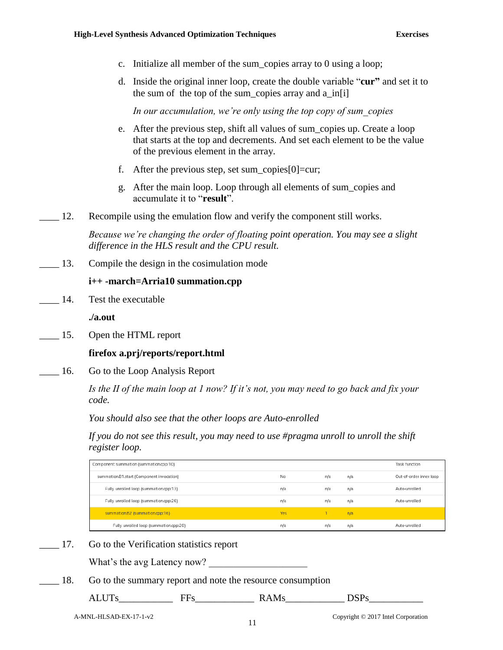- c. Initialize all member of the sum\_copies array to 0 using a loop;
- d. Inside the original inner loop, create the double variable "**cur"** and set it to the sum of the top of the sum\_copies array and a in[i]

*In our accumulation, we're only using the top copy of sum\_copies*

- e. After the previous step, shift all values of sum\_copies up. Create a loop that starts at the top and decrements. And set each element to be the value of the previous element in the array.
- f. After the previous step, set sum copies [0]  $=cur$ ;
- g. After the main loop. Loop through all elements of sum\_copies and accumulate it to "**result**".
- 12. Recompile using the emulation flow and verify the component still works.

*Because we're changing the order of floating point operation. You may see a slight difference in the HLS result and the CPU result.*

\_\_\_\_ 13. Compile the design in the cosimulation mode

#### **i++ -march=Arria10 summation.cpp**

14. Test the executable

**./a.out**

\_\_\_\_ 15. Open the HTML report

#### **firefox a.prj/reports/report.html**

16. Go to the Loop Analysis Report

*Is the II of the main loop at 1 now? If it's not, you may need to go back and fix your code.*

*You should also see that the other loops are Auto-enrolled*

*If you do not see this result, you may need to use #pragma unroll to unroll the shift register loop.*

| Component: summation (summation.cpp:10)   |     |     | Task function |                         |
|-------------------------------------------|-----|-----|---------------|-------------------------|
| summation.B1.start (Component invocation) | No  | n/a | n/a           | Out-of-order inner loop |
| Fully unrolled loop (summation.cpp:13)    | n/a | n/a | n/a           | Auto-unrolled           |
| Fully unrolled loop (summation.cpp:26)    | n/a | n/a | n/a           | Auto-unrolled           |
| summation.B2 (summation.cpp:16)           | Yes |     | n/a           |                         |
| Fully unrolled loop (summation.cpp:20)    | n/a | n/a | n/a           | Auto-unrolled           |

\_\_\_\_ 17. Go to the Verification statistics report

What's the avg Latency now?

18. Go to the summary report and note the resource consumption

ALUTs\_\_\_\_\_\_\_\_\_\_\_ FFs\_\_\_\_\_\_\_\_\_\_\_\_ RAMs\_\_\_\_\_\_\_\_\_\_\_\_ DSPs\_\_\_\_\_\_\_\_\_\_\_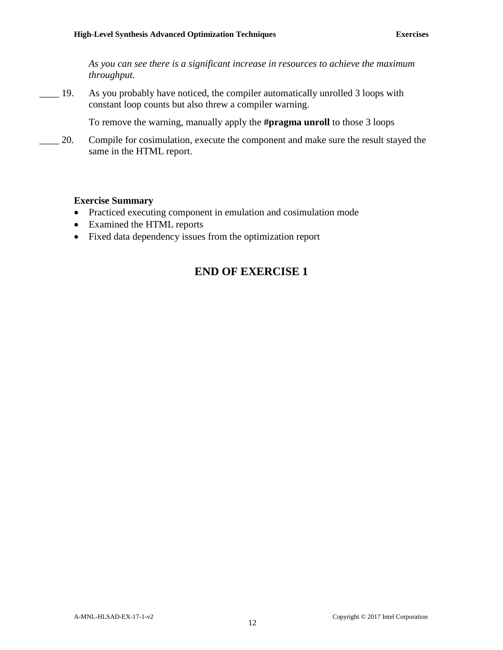*As you can see there is a significant increase in resources to achieve the maximum throughput.*

\_\_\_\_ 19. As you probably have noticed, the compiler automatically unrolled 3 loops with constant loop counts but also threw a compiler warning.

To remove the warning, manually apply the **#pragma unroll** to those 3 loops

\_\_\_\_ 20. Compile for cosimulation, execute the component and make sure the result stayed the same in the HTML report.

#### **Exercise Summary**

- Practiced executing component in emulation and cosimulation mode
- Examined the HTML reports
- Fixed data dependency issues from the optimization report

## **END OF EXERCISE 1**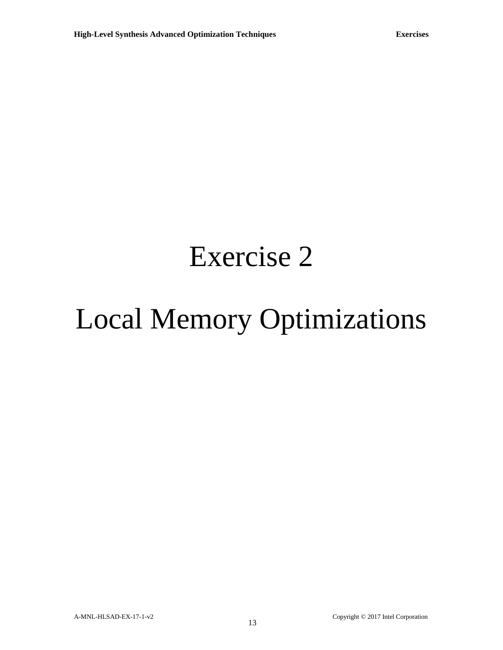# Exercise 2

# Local Memory Optimizations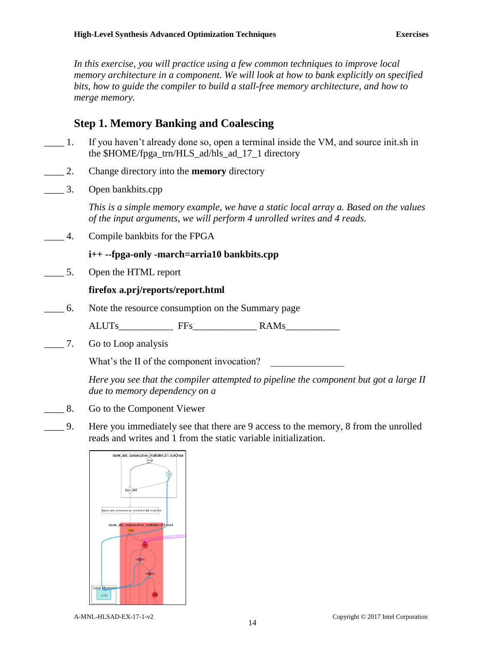*In this exercise, you will practice using a few common techniques to improve local memory architecture in a component. We will look at how to bank explicitly on specified bits, how to guide the compiler to build a stall-free memory architecture, and how to merge memory.*

## **Step 1. Memory Banking and Coalescing**

- \_\_\_\_ 1. If you haven't already done so, open a terminal inside the VM, and source init.sh in the \$HOME/fpga\_trn/HLS\_ad/hls\_ad\_17\_1 directory
- \_\_\_\_ 2. Change directory into the **memory** directory
- \_\_\_\_ 3. Open bankbits.cpp

*This is a simple memory example, we have a static local array a. Based on the values of the input arguments, we will perform 4 unrolled writes and 4 reads.*

\_\_\_\_ 4. Compile bankbits for the FPGA

#### **i++ --fpga-only -march=arria10 bankbits.cpp**

\_\_\_\_ 5. Open the HTML report

#### **firefox a.prj/reports/report.html**

\_\_\_\_ 6. Note the resource consumption on the Summary page

ALUTs FFs RAMs

\_\_\_\_ 7. Go to Loop analysis

What's the II of the component invocation?

*Here you see that the compiler attempted to pipeline the component but got a large II due to memory dependency on a* 

- \_\_\_\_ 8. Go to the Component Viewer
- \_\_\_\_ 9. Here you immediately see that there are 9 access to the memory, 8 from the unrolled reads and writes and 1 from the static variable initialization.

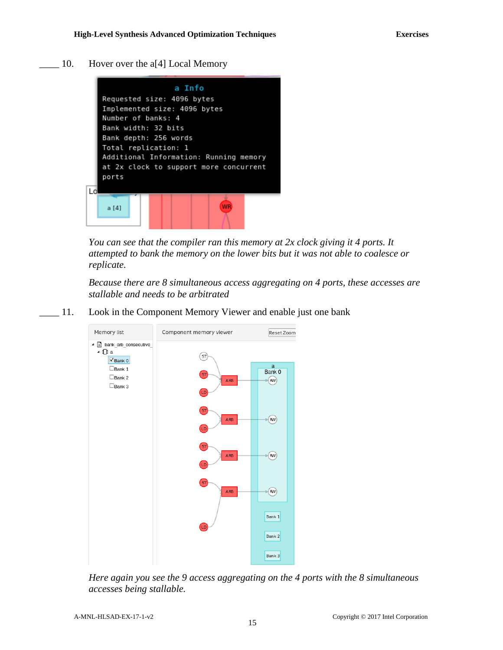\_\_\_\_ 10. Hover over the a[4] Local Memory



*You can see that the compiler ran this memory at 2x clock giving it 4 ports. It attempted to bank the memory on the lower bits but it was not able to coalesce or replicate.*

*Because there are 8 simultaneous access aggregating on 4 ports, these accesses are stallable and needs to be arbitrated*

\_\_\_\_ 11. Look in the Component Memory Viewer and enable just one bank



*Here again you see the 9 access aggregating on the 4 ports with the 8 simultaneous accesses being stallable.*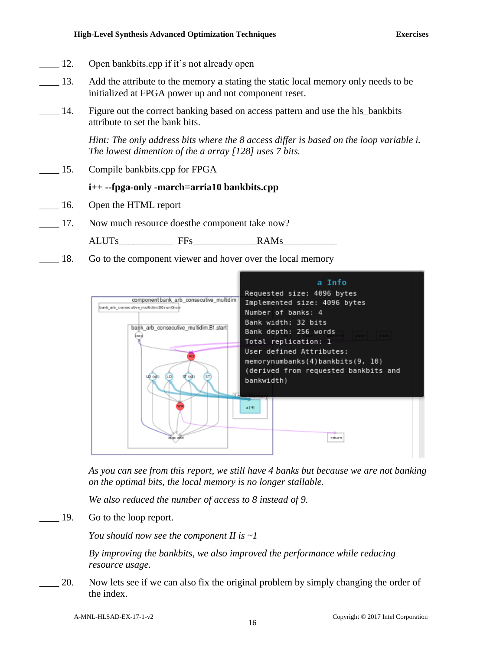- 12. Open bankbits.cpp if it's not already open
- \_\_\_\_ 13. Add the attribute to the memory **a** stating the static local memory only needs to be initialized at FPGA power up and not component reset.
- 14. Figure out the correct banking based on access pattern and use the hls bankbits attribute to set the bank bits.

*Hint: The only address bits where the 8 access differ is based on the loop variable i. The lowest dimention of the a array [128] uses 7 bits.*

\_\_\_\_ 15. Compile bankbits.cpp for FPGA

#### **i++ --fpga-only -march=arria10 bankbits.cpp**

- \_\_\_\_ 16. Open the HTML report
- \_\_\_\_ 17. Now much resource doesthe component take now?

ALUTs\_\_\_\_\_\_\_\_\_\_\_ FFs\_\_\_\_\_\_\_\_\_\_\_\_\_RAMs\_\_\_\_\_\_\_\_\_\_\_

18. Go to the component viewer and hover over the local memory



*As you can see from this report, we still have 4 banks but because we are not banking on the optimal bits, the local memory is no longer stallable.*

*We also reduced the number of access to 8 instead of 9.*

\_\_\_\_ 19. Go to the loop report.

*You should now see the component II is ~1*

*By improving the bankbits, we also improved the performance while reducing resource usage.*

\_\_\_\_ 20. Now lets see if we can also fix the original problem by simply changing the order of the index.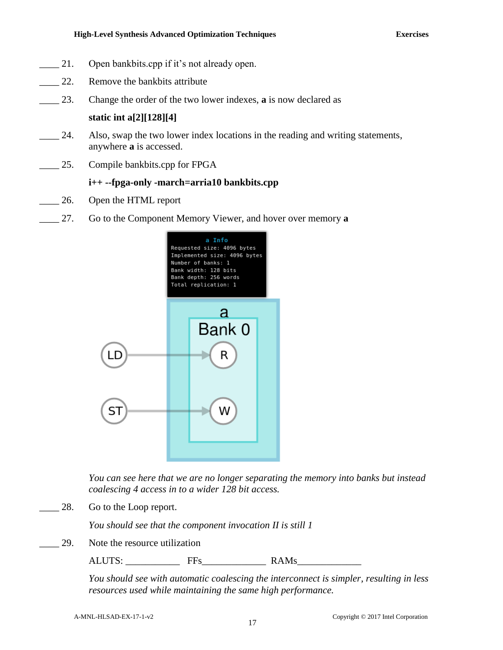#### **High-Level Synthesis Advanced Optimization Techniques Exercises**

- 21. Open bankbits.cpp if it's not already open.
- 22. Remove the bankbits attribute
- \_\_\_\_ 23. Change the order of the two lower indexes, **a** is now declared as

**static int a[2][128][4]**

- 24. Also, swap the two lower index locations in the reading and writing statements, anywhere **a** is accessed.
- \_\_\_\_ 25. Compile bankbits.cpp for FPGA

#### **i++ --fpga-only -march=arria10 bankbits.cpp**

- 26. Open the HTML report
- \_\_\_\_ 27. Go to the Component Memory Viewer, and hover over memory **a**



*You can see here that we are no longer separating the memory into banks but instead coalescing 4 access in to a wider 128 bit access.*

28. Go to the Loop report.

*You should see that the component invocation II is still 1*

29. Note the resource utilization

ALUTS: FFs RAMs

*You should see with automatic coalescing the interconnect is simpler, resulting in less resources used while maintaining the same high performance.*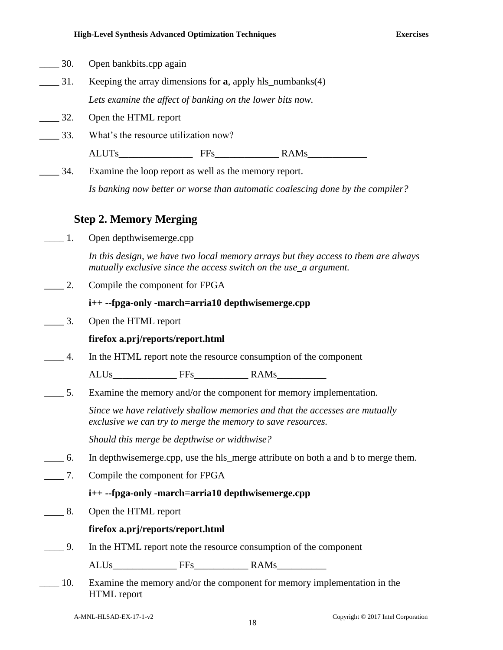| 30.                          | Open bankbits.cpp again                                                        |                                                                                                                                                         |                                                                                    |  |  |  |  |  |
|------------------------------|--------------------------------------------------------------------------------|---------------------------------------------------------------------------------------------------------------------------------------------------------|------------------------------------------------------------------------------------|--|--|--|--|--|
| $\overline{\phantom{0}}$ 31. | Keeping the array dimensions for $a$ , apply hls_numbanks(4)                   |                                                                                                                                                         |                                                                                    |  |  |  |  |  |
|                              | Lets examine the affect of banking on the lower bits now.                      |                                                                                                                                                         |                                                                                    |  |  |  |  |  |
| $\overline{\phantom{1}}$ 32. |                                                                                | Open the HTML report                                                                                                                                    |                                                                                    |  |  |  |  |  |
| 33.                          | What's the resource utilization now?                                           |                                                                                                                                                         |                                                                                    |  |  |  |  |  |
|                              |                                                                                |                                                                                                                                                         |                                                                                    |  |  |  |  |  |
| 34.                          |                                                                                | Examine the loop report as well as the memory report.                                                                                                   |                                                                                    |  |  |  |  |  |
|                              | Is banking now better or worse than automatic coalescing done by the compiler? |                                                                                                                                                         |                                                                                    |  |  |  |  |  |
|                              | <b>Step 2. Memory Merging</b>                                                  |                                                                                                                                                         |                                                                                    |  |  |  |  |  |
| 1.                           | Open depthwisemerge.cpp                                                        |                                                                                                                                                         |                                                                                    |  |  |  |  |  |
|                              |                                                                                | In this design, we have two local memory arrays but they access to them are always<br>mutually exclusive since the access switch on the use_a argument. |                                                                                    |  |  |  |  |  |
| $\overline{\phantom{1}}$ 2.  | Compile the component for FPGA                                                 |                                                                                                                                                         |                                                                                    |  |  |  |  |  |
|                              | i++ --fpga-only -march=arria10 depthwisemerge.cpp                              |                                                                                                                                                         |                                                                                    |  |  |  |  |  |
| $\overline{3}$ .             | Open the HTML report                                                           |                                                                                                                                                         |                                                                                    |  |  |  |  |  |
|                              | firefox a.prj/reports/report.html                                              |                                                                                                                                                         |                                                                                    |  |  |  |  |  |
| $\overline{4}$ .             |                                                                                |                                                                                                                                                         | In the HTML report note the resource consumption of the component                  |  |  |  |  |  |
|                              |                                                                                |                                                                                                                                                         |                                                                                    |  |  |  |  |  |
| 5.                           |                                                                                |                                                                                                                                                         | Examine the memory and/or the component for memory implementation.                 |  |  |  |  |  |
|                              | exclusive we can try to merge the memory to save resources.                    |                                                                                                                                                         | Since we have relatively shallow memories and that the accesses are mutually       |  |  |  |  |  |
|                              | Should this merge be depthwise or widthwise?                                   |                                                                                                                                                         |                                                                                    |  |  |  |  |  |
| $\frac{6}{1}$                |                                                                                |                                                                                                                                                         | In depthwise merge.cpp, use the hls_merge attribute on both a and b to merge them. |  |  |  |  |  |
| 7.                           | Compile the component for FPGA                                                 |                                                                                                                                                         |                                                                                    |  |  |  |  |  |
|                              | i++ --fpga-only -march=arria10 depthwisemerge.cpp                              |                                                                                                                                                         |                                                                                    |  |  |  |  |  |
| $\_\_\$ 8.                   | Open the HTML report                                                           |                                                                                                                                                         |                                                                                    |  |  |  |  |  |
|                              | firefox a.prj/reports/report.html                                              |                                                                                                                                                         |                                                                                    |  |  |  |  |  |
| $-9.$                        |                                                                                |                                                                                                                                                         | In the HTML report note the resource consumption of the component                  |  |  |  |  |  |
|                              |                                                                                |                                                                                                                                                         |                                                                                    |  |  |  |  |  |
| 10 <sup>1</sup>              |                                                                                |                                                                                                                                                         | Examine the memory and/or the component for memory implementation in the           |  |  |  |  |  |